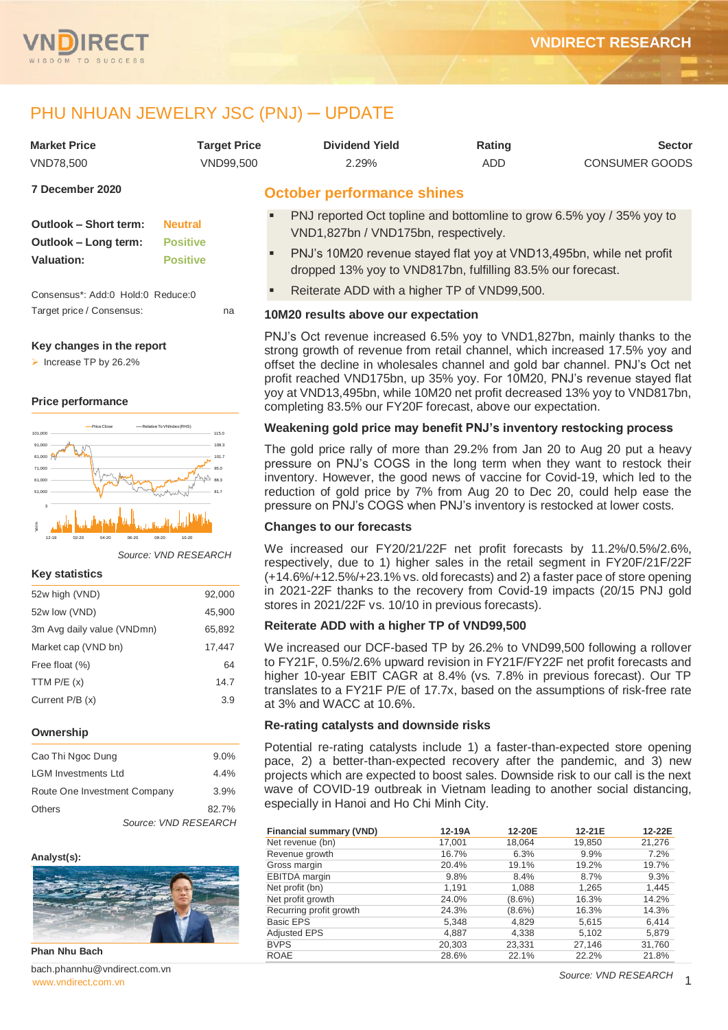

# PHU NHUAN JEWELRY JSC (PNJ) ─ UPDATE

| <b>Market Price</b><br><b>VND78.500</b>                            | <b>Target Price</b><br><b>VND99,500</b>              | <b>Dividend Yield</b><br>2.29%                                                                                  | Rating<br><b>ADD</b>                                                                                                                                                                                                                                 | <b>Sector</b><br><b>CONSUMER GOODS</b> |  |  |  |  |
|--------------------------------------------------------------------|------------------------------------------------------|-----------------------------------------------------------------------------------------------------------------|------------------------------------------------------------------------------------------------------------------------------------------------------------------------------------------------------------------------------------------------------|----------------------------------------|--|--|--|--|
| 7 December 2020                                                    |                                                      | <b>October performance shines</b>                                                                               |                                                                                                                                                                                                                                                      |                                        |  |  |  |  |
| <b>Outlook - Short term:</b><br>Outlook - Long term:<br>Valuation: | <b>Neutral</b><br><b>Positive</b><br><b>Positive</b> | п<br>٠                                                                                                          | PNJ reported Oct topline and bottomline to grow 6.5% yoy / 35% yoy to<br>VND1,827bn / VND175bn, respectively.<br>PNJ's 10M20 revenue stayed flat yoy at VND13,495bn, while net profit<br>dropped 13% yoy to VND817bn, fulfilling 83.5% our forecast. |                                        |  |  |  |  |
| Consensus*: Add:0 Hold:0 Reduce:0                                  |                                                      | Reiterate ADD with a higher TP of VND99,500.                                                                    |                                                                                                                                                                                                                                                      |                                        |  |  |  |  |
| Target price / Consensus:                                          | na                                                   | 10M20 results above our expectation<br>PNJ's Oct revenue increased 6.5% yov to VND1.827bn, mainly thanks to the |                                                                                                                                                                                                                                                      |                                        |  |  |  |  |

## **Key changes in the report**

Increase TP by  $26.2\%$ 

#### **Price performance**



*Source: VND RESEARCH*

#### **Key statistics**

| 52w high (VND)             | 92,000 |
|----------------------------|--------|
| 52w low (VND)              | 45,900 |
| 3m Avg daily value (VNDmn) | 65,892 |
| Market cap (VND bn)        | 17,447 |
| Free float (%)             | 64     |
| TTM $P/E(x)$               | 14.7   |
| Current $P/B(x)$           | 3.9    |
|                            |        |

#### **Ownership**

| Cao Thi Ngoc Dung            | $9.0\%$ |
|------------------------------|---------|
| <b>LGM Investments Ltd</b>   | 4.4%    |
| Route One Investment Company | 3.9%    |
| <b>Others</b>                | 82.7%   |
| Source: VND RESEARCH         |         |

#### **Analyst(s):**



**Phan Nhu Bach**

[www.vndirect.com.vn](file:///C:/Users/Andre/Downloads/www.vndirect.com.vn) 2002 www.vndirect.com.vn 2002 www.vndirect.com.vn 2002 www.vndirect.com.vn bach.phannhu@vndirect.com.vn

PNJ's Oct revenue increased 6.5% yoy to VND1,827bn, mainly thanks to the strong growth of revenue from retail channel, which increased 17.5% yoy and offset the decline in wholesales channel and gold bar channel. PNJ's Oct net profit reached VND175bn, up 35% yoy. For 10M20, PNJ's revenue stayed flat yoy at VND13,495bn, while 10M20 net profit decreased 13% yoy to VND817bn, completing 83.5% our FY20F forecast, above our expectation.

#### **Weakening gold price may benefit PNJ's inventory restocking process**

The gold price rally of more than 29.2% from Jan 20 to Aug 20 put a heavy pressure on PNJ's COGS in the long term when they want to restock their inventory. However, the good news of vaccine for Covid-19, which led to the reduction of gold price by 7% from Aug 20 to Dec 20, could help ease the pressure on PNJ's COGS when PNJ's inventory is restocked at lower costs.

#### **Changes to our forecasts**

We increased our FY20/21/22F net profit forecasts by 11.2%/0.5%/2.6%, respectively, due to 1) higher sales in the retail segment in FY20F/21F/22F (+14.6%/+12.5%/+23.1% vs. old forecasts) and 2) a faster pace of store opening in 2021-22F thanks to the recovery from Covid-19 impacts (20/15 PNJ gold stores in 2021/22F vs. 10/10 in previous forecasts).

## **Reiterate ADD with a higher TP of VND99,500**

We increased our DCF-based TP by 26.2% to VND99,500 following a rollover to FY21F, 0.5%/2.6% upward revision in FY21F/FY22F net profit forecasts and higher 10-year EBIT CAGR at 8.4% (vs. 7.8% in previous forecast). Our TP translates to a FY21F P/E of 17.7x, based on the assumptions of risk-free rate at 3% and WACC at 10.6%.

#### **Re-rating catalysts and downside risks**

Potential re-rating catalysts include 1) a faster-than-expected store opening pace, 2) a better-than-expected recovery after the pandemic, and 3) new projects which are expected to boost sales. Downside risk to our call is the next wave of COVID-19 outbreak in Vietnam leading to another social distancing, especially in Hanoi and Ho Chi Minh City.

| <b>Financial summary (VND)</b> | 12-19A | 12-20E    | 12-21E | 12-22E |
|--------------------------------|--------|-----------|--------|--------|
| Net revenue (bn)               | 17.001 | 18.064    | 19,850 | 21,276 |
| Revenue growth                 | 16.7%  | 6.3%      | 9.9%   | 7.2%   |
| Gross margin                   | 20.4%  | 19.1%     | 19.2%  | 19.7%  |
| <b>EBITDA</b> margin           | 9.8%   | 8.4%      | 8.7%   | 9.3%   |
| Net profit (bn)                | 1,191  | 1,088     | 1,265  | 1,445  |
| Net profit growth              | 24.0%  | $(8.6\%)$ | 16.3%  | 14.2%  |
| Recurring profit growth        | 24.3%  | $(8.6\%)$ | 16.3%  | 14.3%  |
| <b>Basic EPS</b>               | 5,348  | 4,829     | 5,615  | 6,414  |
| <b>Adjusted EPS</b>            | 4,887  | 4,338     | 5,102  | 5,879  |
| <b>BVPS</b>                    | 20,303 | 23.331    | 27,146 | 31,760 |
| <b>ROAE</b>                    | 28.6%  | 22.1%     | 22.2%  | 21.8%  |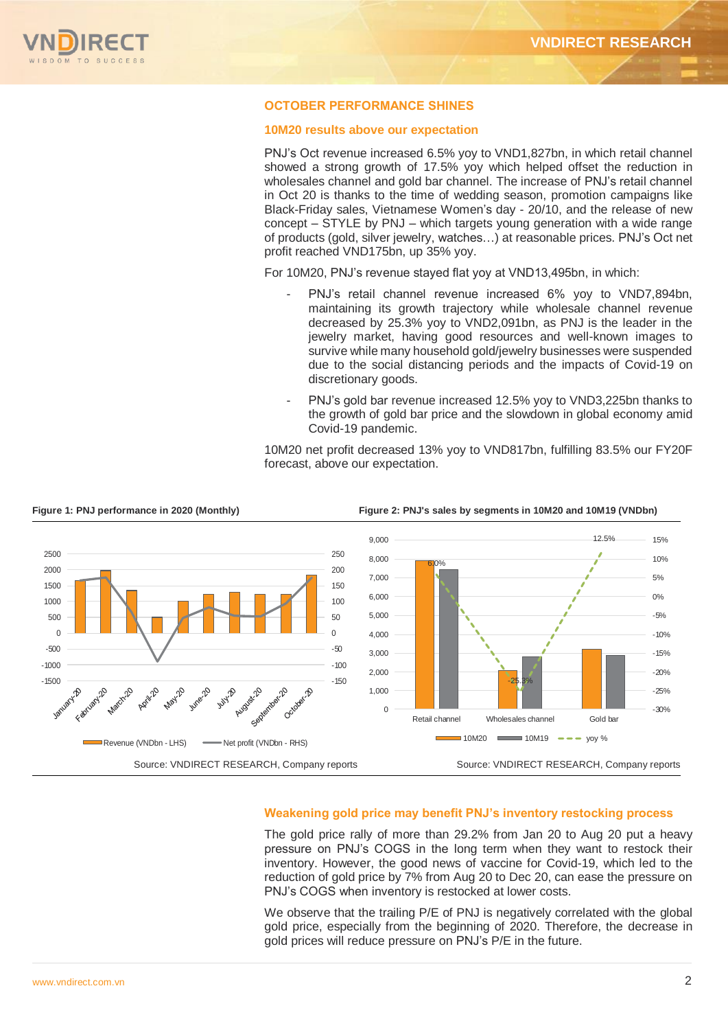

## **OCTOBER PERFORMANCE SHINES**

#### **10M20 results above our expectation**

PNJ's Oct revenue increased 6.5% yoy to VND1,827bn, in which retail channel showed a strong growth of 17.5% yoy which helped offset the reduction in wholesales channel and gold bar channel. The increase of PNJ's retail channel in Oct 20 is thanks to the time of wedding season, promotion campaigns like Black-Friday sales, Vietnamese Women's day - 20/10, and the release of new concept – STYLE by PNJ – which targets young generation with a wide range of products (gold, silver jewelry, watches…) at reasonable prices. PNJ's Oct net profit reached VND175bn, up 35% yoy.

For 10M20, PNJ's revenue stayed flat yoy at VND13,495bn, in which:

- PNJ's retail channel revenue increased 6% yoy to VND7,894bn, maintaining its growth trajectory while wholesale channel revenue decreased by 25.3% yoy to VND2,091bn, as PNJ is the leader in the jewelry market, having good resources and well-known images to survive while many household gold/jewelry businesses were suspended due to the social distancing periods and the impacts of Covid-19 on discretionary goods.
- PNJ's gold bar revenue increased 12.5% yoy to VND3,225bn thanks to the growth of gold bar price and the slowdown in global economy amid Covid-19 pandemic.

10M20 net profit decreased 13% yoy to VND817bn, fulfilling 83.5% our FY20F forecast, above our expectation.



#### **Figure 1: PNJ performance in 2020 (Monthly) Figure 2: PNJ's sales by segments in 10M20 and 10M19 (VNDbn)**

### **Weakening gold price may benefit PNJ's inventory restocking process**

The gold price rally of more than 29.2% from Jan 20 to Aug 20 put a heavy pressure on PNJ's COGS in the long term when they want to restock their inventory. However, the good news of vaccine for Covid-19, which led to the reduction of gold price by 7% from Aug 20 to Dec 20, can ease the pressure on PNJ's COGS when inventory is restocked at lower costs.

We observe that the trailing P/E of PNJ is negatively correlated with the global gold price, especially from the beginning of 2020. Therefore, the decrease in gold prices will reduce pressure on PNJ's P/E in the future.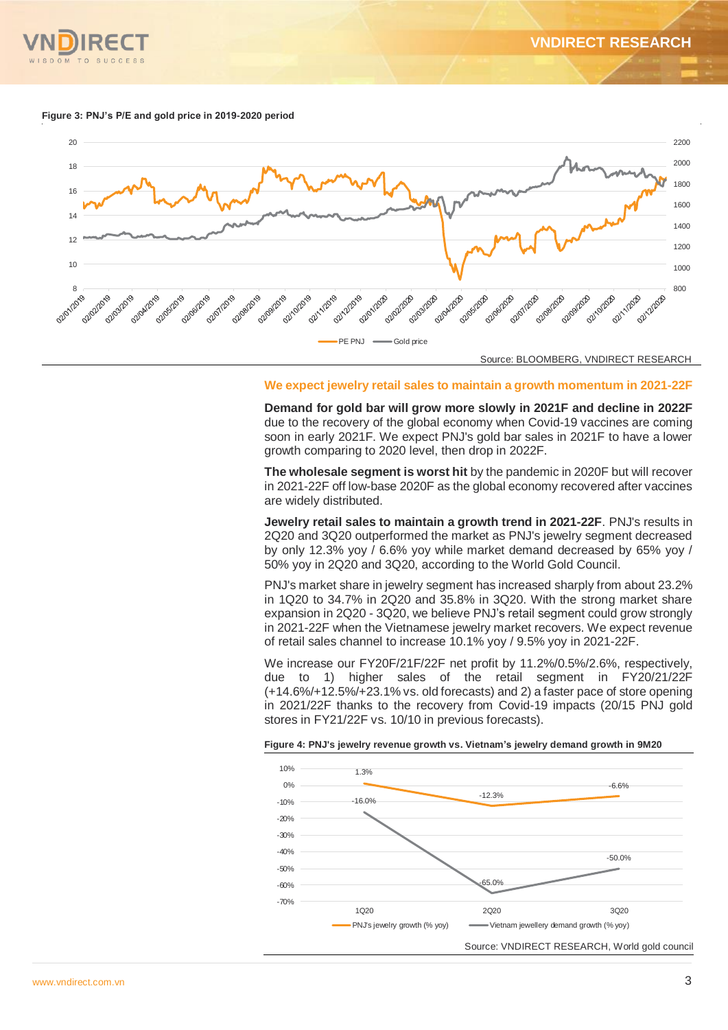

#### **Figure 3: PNJ's P/E and gold price in 2019-2020 period**



Source: BLOOMBERG, VNDIRECT RESEARCH

#### **We expect jewelry retail sales to maintain a growth momentum in 2021-22F**

**Demand for gold bar will grow more slowly in 2021F and decline in 2022F**  due to the recovery of the global economy when Covid-19 vaccines are coming soon in early 2021F. We expect PNJ's gold bar sales in 2021F to have a lower growth comparing to 2020 level, then drop in 2022F.

**The wholesale segment is worst hit** by the pandemic in 2020F but will recover in 2021-22F off low-base 2020F as the global economy recovered after vaccines are widely distributed.

**Jewelry retail sales to maintain a growth trend in 2021-22F**. PNJ's results in 2Q20 and 3Q20 outperformed the market as PNJ's jewelry segment decreased by only 12.3% yoy / 6.6% yoy while market demand decreased by 65% yoy / 50% yoy in 2Q20 and 3Q20, according to the World Gold Council.

PNJ's market share in jewelry segment has increased sharply from about 23.2% in 1Q20 to 34.7% in 2Q20 and 35.8% in 3Q20. With the strong market share expansion in 2Q20 - 3Q20, we believe PNJ's retail segment could grow strongly in 2021-22F when the Vietnamese jewelry market recovers. We expect revenue of retail sales channel to increase 10.1% yoy / 9.5% yoy in 2021-22F.

We increase our FY20F/21F/22F net profit by 11.2%/0.5%/2.6%, respectively, due to 1) higher sales of the retail segment in FY20/21/22F (+14.6%/+12.5%/+23.1% vs. old forecasts) and 2) a faster pace of store opening in 2021/22F thanks to the recovery from Covid-19 impacts (20/15 PNJ gold stores in FY21/22F vs. 10/10 in previous forecasts).

#### **Figure 4: PNJ's jewelry revenue growth vs. Vietnam's jewelry demand growth in 9M20**

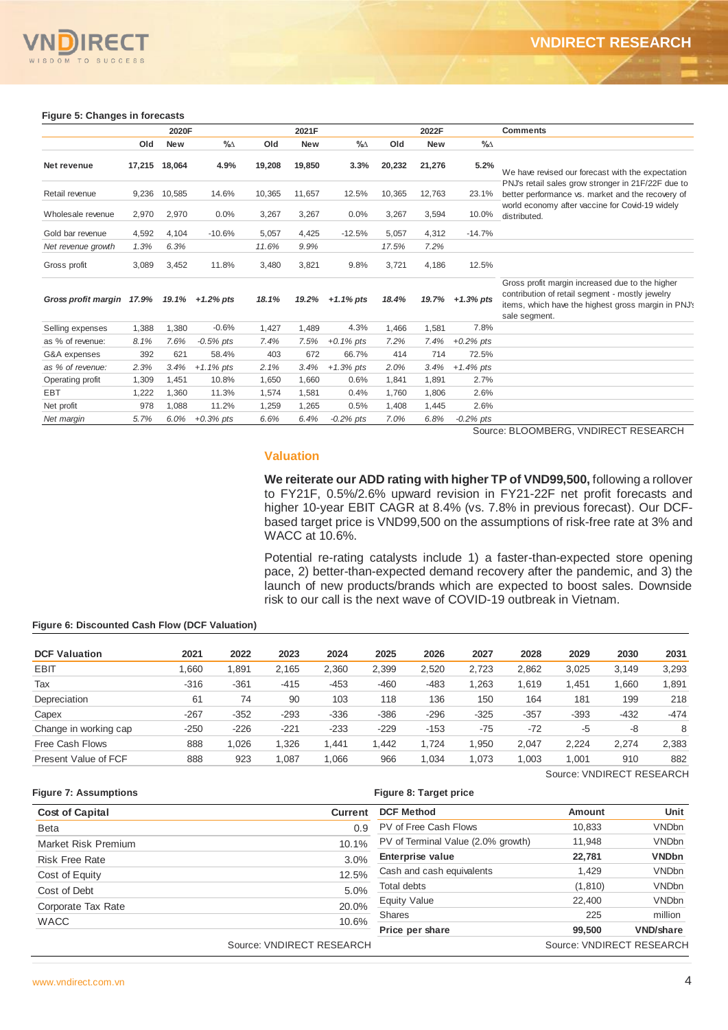

#### **Figure 5: Changes in forecasts**

|                                                                      |       | 2020F         |                                |        | 2021F          |                |                        | 2022F                   |                                    | <b>Comments</b>                                                                                                                                                                                                                                                                                                           |                           |                |                                                           |
|----------------------------------------------------------------------|-------|---------------|--------------------------------|--------|----------------|----------------|------------------------|-------------------------|------------------------------------|---------------------------------------------------------------------------------------------------------------------------------------------------------------------------------------------------------------------------------------------------------------------------------------------------------------------------|---------------------------|----------------|-----------------------------------------------------------|
|                                                                      | Old   | New           | %∆                             | Old    | <b>New</b>     | %∆             | Old                    | New                     | $\%$                               |                                                                                                                                                                                                                                                                                                                           |                           |                |                                                           |
| Net revenue                                                          |       | 17,215 18,064 | 4.9%                           | 19,208 | 19,850         | 3.3%           | 20,232                 | 21,276                  | 5.2%                               | We have revised our forecast with the expectation                                                                                                                                                                                                                                                                         |                           |                |                                                           |
| Retail revenue                                                       | 9,236 | 10,585        | 14.6%                          | 10,365 | 11,657         | 12.5%          | 10,365                 | 12,763                  | 23.1%                              | PNJ's retail sales grow stronger in 21F/22F due to<br>better performance vs. market and the recovery of                                                                                                                                                                                                                   |                           |                |                                                           |
| Wholesale revenue                                                    | 2,970 | 2,970         | 0.0%                           | 3,267  | 3,267          | 0.0%           | 3,267                  | 3,594                   | 10.0%                              | world economy after vaccine for Covid-19 widely<br>distributed.                                                                                                                                                                                                                                                           |                           |                |                                                           |
| Gold bar revenue                                                     | 4,592 | 4,104         | $-10.6%$                       | 5,057  | 4,425          | $-12.5%$       | 5,057                  | 4,312                   | $-14.7%$                           |                                                                                                                                                                                                                                                                                                                           |                           |                |                                                           |
| Net revenue growth                                                   | 1.3%  | 6.3%          |                                | 11.6%  | 9.9%           |                | 17.5%                  | 7.2%                    |                                    |                                                                                                                                                                                                                                                                                                                           |                           |                |                                                           |
| Gross profit                                                         | 3,089 | 3,452         | 11.8%                          | 3,480  | 3,821          | 9.8%           | 3,721                  | 4,186                   | 12.5%                              |                                                                                                                                                                                                                                                                                                                           |                           |                |                                                           |
| Gross profit margin $17.9\%$ $19.1\%$ +1.2% pts                      |       |               |                                | 18.1%  | 19.2%          | $+1.1\%$ pts   | 18.4%                  | 19.7%                   | $+1.3%$ pts                        | Gross profit margin increased due to the higher<br>contribution of retail segment - mostly jewelry<br>items, which have the highest gross margin in PNJ's<br>sale segment.                                                                                                                                                |                           |                |                                                           |
| Selling expenses                                                     | 1,388 | 1,380         | $-0.6%$                        | 1,427  | 1,489          | 4.3%           | 1,466                  | 1,581                   | 7.8%                               |                                                                                                                                                                                                                                                                                                                           |                           |                |                                                           |
| as % of revenue:                                                     | 8.1%  | 7.6%          | $-0.5\%$ pts                   | 7.4%   | 7.5%           | $+0.1\%$ pts   | 7.2%                   | 7.4%                    | $+0.2%$ pts                        |                                                                                                                                                                                                                                                                                                                           |                           |                |                                                           |
| G&A expenses                                                         | 392   | 621           | 58.4%                          | 403    | 672            | 66.7%          | 414                    | 714                     | 72.5%                              |                                                                                                                                                                                                                                                                                                                           |                           |                |                                                           |
| as % of revenue:                                                     | 2.3%  | 3.4%          | $+1.1\%$ pts                   | 2.1%   | 3.4%           | $+1.3%$ pts    | 2.0%                   | 3.4%                    | $+1.4%$ pts                        |                                                                                                                                                                                                                                                                                                                           |                           |                |                                                           |
| Operating profit                                                     | 1,309 | 1,451         | 10.8%                          | 1,650  | 1,660          | 0.6%           | 1,841                  | 1,891                   | 2.7%                               |                                                                                                                                                                                                                                                                                                                           |                           |                |                                                           |
| EBT                                                                  | 1,222 | 1,360         | 11.3%                          | 1,574  | 1,581          | 0.4%           | 1,760                  | 1,806                   | 2.6%                               |                                                                                                                                                                                                                                                                                                                           |                           |                |                                                           |
| Net profit                                                           | 978   | 1,088         | 11.2%                          | 1,259  | 1,265          | 0.5%           | 1,408                  | 1,445                   | 2.6%                               |                                                                                                                                                                                                                                                                                                                           |                           |                |                                                           |
| Net margin                                                           | 5.7%  | 6.0%          | $+0.3%$ pts                    | 6.6%   | 6.4%           | -0.2% pts      | 7.0%                   | 6.8%                    | $-0.2%$ pts                        | Source: BLOOMBERG, VNDIRECT RESEARCH                                                                                                                                                                                                                                                                                      |                           |                |                                                           |
|                                                                      |       |               |                                |        | WACC at 10.6%. |                |                        |                         |                                    | to FY21F, 0.5%/2.6% upward revision in FY21-22F net profit forecasts and<br>higher 10-year EBIT CAGR at 8.4% (vs. 7.8% in previous forecast). Our DCF-<br>based target price is VND99,500 on the assumptions of risk-free rate at 3% and<br>Potential re-rating catalysts include 1) a faster-than-expected store opening |                           |                |                                                           |
|                                                                      |       |               |                                |        |                |                |                        |                         |                                    | pace, 2) better-than-expected demand recovery after the pandemic, and 3) the<br>launch of new products/brands which are expected to boost sales. Downside<br>risk to our call is the next wave of COVID-19 outbreak in Vietnam.                                                                                           |                           |                |                                                           |
| iqure 6: Discounted Cash Flow (DCF Valuation)<br><b>CF Valuation</b> |       |               | 2021<br>2022                   |        | 2023           | 2024           | 2025                   | 2026                    | 2027                               | 2028                                                                                                                                                                                                                                                                                                                      | 2029                      | 2030           |                                                           |
| :BIT                                                                 |       |               |                                |        |                |                |                        |                         |                                    |                                                                                                                                                                                                                                                                                                                           |                           |                |                                                           |
| аx                                                                   |       |               | 1,660<br>1,891<br>-316<br>-361 |        | 2,165<br>-415  | 2,360<br>-453  | 2,399<br>-460          | 2,520<br>-483           | 2,723<br>1,263                     | 2,862<br>1,619                                                                                                                                                                                                                                                                                                            | 3,025<br>1,451            | 3,149<br>1,660 | 2031                                                      |
| epreciation                                                          |       |               | 61                             | 74     | 90             | 103            | 118                    | 136                     | 150                                | 164                                                                                                                                                                                                                                                                                                                       | 181                       | 199            |                                                           |
|                                                                      |       |               |                                |        |                |                |                        |                         |                                    |                                                                                                                                                                                                                                                                                                                           |                           |                |                                                           |
| apex:                                                                |       |               | $-267$<br>$-352$               |        | $-293$         | $-336$         | $-386$                 | $-296$                  | $-325$                             | $-357$                                                                                                                                                                                                                                                                                                                    | $-393$                    | -432           |                                                           |
| hange in working cap:                                                |       |               | -250<br>$-226$                 |        | $-221$         | $-233$         | $-229$                 | $-153$                  | $-75$                              | $-72$                                                                                                                                                                                                                                                                                                                     | -5                        | -8             |                                                           |
| ree Cash Flows<br>resent Value of FCF                                |       |               | 888<br>1,026<br>888<br>923     |        | 1,326<br>1,087 | 1,441<br>1,066 | 1,442<br>966           | 1,724<br>1,034          | 1,950<br>1,073                     | 2,047<br>1,003                                                                                                                                                                                                                                                                                                            | 2,224<br>1,001            | 2,274<br>910   |                                                           |
| igure 7: Assumptions                                                 |       |               |                                |        |                |                | Figure 8: Target price |                         |                                    |                                                                                                                                                                                                                                                                                                                           | Source: VNDIRECT RESEARCH |                |                                                           |
|                                                                      |       |               |                                |        |                |                |                        |                         |                                    |                                                                                                                                                                                                                                                                                                                           |                           |                |                                                           |
| Cost of Capital                                                      |       |               |                                |        |                | <b>Current</b> | <b>DCF Method</b>      |                         |                                    |                                                                                                                                                                                                                                                                                                                           | Amount                    |                | Unit                                                      |
| Beta                                                                 |       |               |                                |        |                | 0.9            |                        | PV of Free Cash Flows   |                                    |                                                                                                                                                                                                                                                                                                                           | 10,833                    |                | <b>VNDbn</b>                                              |
| Market Risk Premium                                                  |       |               |                                |        |                | 10.1%          |                        |                         | PV of Terminal Value (2.0% growth) |                                                                                                                                                                                                                                                                                                                           | 11,948                    |                | <b>VNDbn</b>                                              |
| Risk Free Rate                                                       |       |               |                                |        |                | 3.0%           |                        | <b>Enterprise value</b> |                                    |                                                                                                                                                                                                                                                                                                                           | 22,781                    |                | <b>VNDbn</b>                                              |
| Cost of Equity                                                       |       |               |                                |        |                | 12.5%          |                        |                         | Cash and cash equivalents          |                                                                                                                                                                                                                                                                                                                           | 1,429                     |                | <b>VNDbn</b>                                              |
| Cost of Debt                                                         |       |               |                                |        |                | 5.0%           | Total debts            |                         |                                    |                                                                                                                                                                                                                                                                                                                           | (1, 810)                  |                | 1,891<br><b>VNDbn</b>                                     |
| Corporate Tax Rate                                                   |       |               |                                |        |                | 20.0%          | Equity Value           |                         |                                    |                                                                                                                                                                                                                                                                                                                           | 22,400                    |                | 3,293<br>218<br>-474<br>8<br>2,383<br>882<br><b>VNDbn</b> |
| WACC                                                                 |       |               |                                |        |                | 10.6%          | Shares                 | Price per share         |                                    |                                                                                                                                                                                                                                                                                                                           | 225<br>99,500             |                | million<br><b>VND/share</b>                               |

#### **Valuation**

#### **Figure 6: Discounted Cash Flow (DCF Valuation)**

| <b>DCF Valuation</b>  | 2021   | 2022   | 2023   | 2024   | 2025   | 2026   | 2027   | 2028   | 2029                      | 2030   | 2031   |
|-----------------------|--------|--------|--------|--------|--------|--------|--------|--------|---------------------------|--------|--------|
| <b>EBIT</b>           | .660   | .891   | 2.165  | 2.360  | 2.399  | 2.520  | 2.723  | 2.862  | 3.025                     | 3.149  | 3,293  |
| Tax                   | $-316$ | $-361$ | $-415$ | $-453$ | $-460$ | $-483$ | 1,263  | .619   | 1,451                     | .660   | 1,891  |
| Depreciation          | 61     | 74     | 90     | 103    | 118    | 136    | 150    | 164    | 181                       | 199    | 218    |
| Capex                 | $-267$ | $-352$ | $-293$ | $-336$ | $-386$ | $-296$ | $-325$ | $-357$ | $-393$                    | $-432$ | $-474$ |
| Change in working cap | $-250$ | $-226$ | $-221$ | $-233$ | $-229$ | $-153$ | $-75$  | $-72$  | -5                        | -8     | 8      |
| Free Cash Flows       | 888    | .026   | 1.326  | .441   | 1.442  | .724   | 1.950  | 2.047  | 2.224                     | 2.274  | 2,383  |
| Present Value of FCF  | 888    | 923    | 1,087  | 1,066  | 966    | ,034   | 1,073  | 1.003  | 1.001                     | 910    | 882    |
|                       |        |        |        |        |        |        |        |        | Source: VNDIRECT RESEARCH |        |        |

| <b>Cost of Capital</b> | Current                   | <b>DCF Method</b>                  | Amount                    | Unit             |
|------------------------|---------------------------|------------------------------------|---------------------------|------------------|
| <b>Beta</b>            | 0.9                       | PV of Free Cash Flows              | 10,833                    | <b>VNDbn</b>     |
| Market Risk Premium    | 10.1%                     | PV of Terminal Value (2.0% growth) | 11,948                    | <b>VNDbn</b>     |
| <b>Risk Free Rate</b>  | 3.0%                      | Enterprise value                   | 22,781                    | <b>VNDbn</b>     |
| Cost of Equity         | 12.5%                     | Cash and cash equivalents          | 1,429                     | <b>VNDbn</b>     |
| Cost of Debt           | 5.0%                      | Total debts                        | (1, 810)                  | <b>VNDbn</b>     |
| Corporate Tax Rate     | 20.0%                     | <b>Equity Value</b>                | 22,400                    | <b>VNDbn</b>     |
|                        |                           | Shares                             | 225                       | million          |
| <b>WACC</b>            | 10.6%                     | Price per share                    | 99,500                    | <b>VND/share</b> |
|                        | Source: VNDIRECT RESEARCH |                                    | Source: VNDIRECT RESEARCH |                  |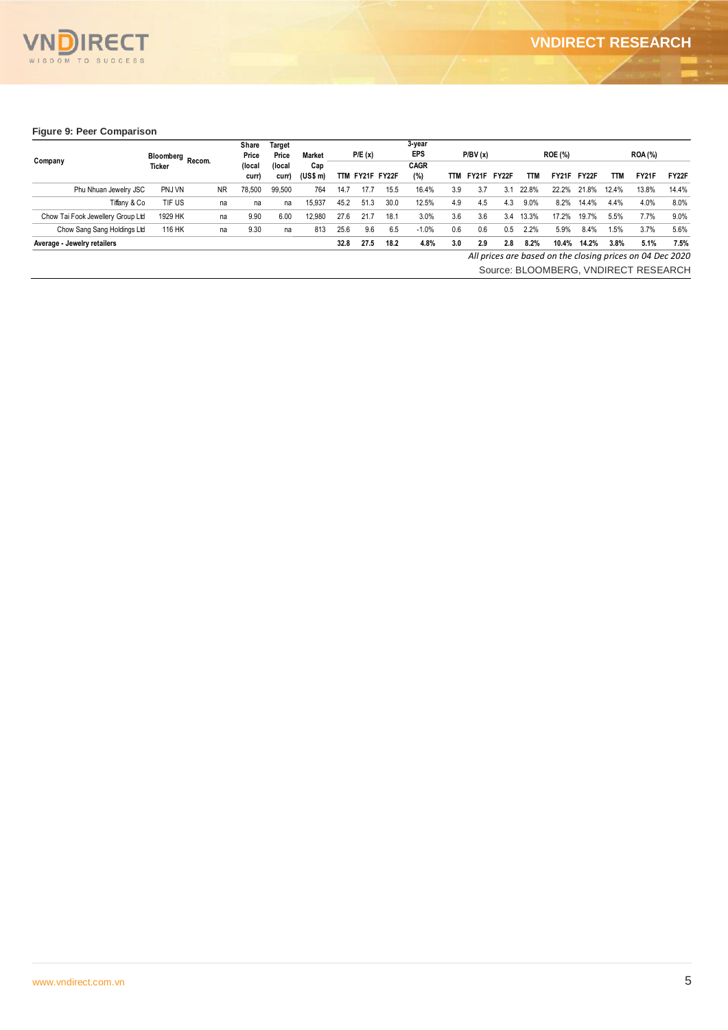

#### **Figure 9: Peer Comparison**

|                                   |                            |           | Share<br>Price  | Target<br>Price | <b>Market</b>   |      | P/E(x)          |      | 3-year<br><b>EPS</b> |            | P/BV(x) |       |       | <b>ROE (%)</b> |       |            | <b>ROA (%)</b>                                            |       |
|-----------------------------------|----------------------------|-----------|-----------------|-----------------|-----------------|------|-----------------|------|----------------------|------------|---------|-------|-------|----------------|-------|------------|-----------------------------------------------------------|-------|
| Company                           | Bloomberg Recom.<br>Ticker |           | (local<br>curr) | (local<br>curr) | Cap<br>(US\$ m) |      | TTM FY21F FY22F |      | <b>CAGR</b><br>(%)   | <b>TTM</b> | FY21F   | FY22F | TTM   | FY21F          | FY22F | <b>TTM</b> | <b>FY21F</b>                                              | FY22F |
| Phu Nhuan Jewelry JSC             | PNJ VN                     | <b>NR</b> | 78,500          | 99,500          | 764             | 14.7 | 17.7            | 15.5 | 16.4%                | 3.9        | 3.7     | 3.1   | 22.8% | 22.2%          | 21.8% | 12.4%      | 13.8%                                                     | 14.4% |
| Tiffany & Co                      | TIF US                     | na        | na              | na              | 15,937          | 45.2 | 51.3            | 30.0 | 12.5%                | 4.9        | 4.5     | 4.3   | 9.0%  | 8.2%           | 14.4% | 4.4%       | 4.0%                                                      | 8.0%  |
| Chow Tai Fook Jewellery Group Ltd | 1929 HK                    | na        | 9.90            | 6.00            | 12,980          | 27.6 | 21.7            | 18.1 | 3.0%                 | 3.6        | 3.6     | 3.4   | 13.3% | 17.2%          | 19.7% | 5.5%       | 7.7%                                                      | 9.0%  |
| Chow Sang Sang Holdings Ltd       | 116 HK                     | na        | 9.30            | na              | 813             | 25.6 | 9.6             | 6.5  | $-1.0%$              | 0.6        | 0.6     | 0.5   | 2.2%  | 5.9%           | 8.4%  | 1.5%       | 3.7%                                                      | 5.6%  |
| Average - Jewelry retailers       |                            |           |                 |                 |                 | 32.8 | 27.5            | 18.2 | 4.8%                 | 3.0        | 2.9     | 2.8   | 8.2%  | 10.4%          | 14.2% | 3.8%       | 5.1%                                                      | 7.5%  |
|                                   |                            |           |                 |                 |                 |      |                 |      |                      |            |         |       |       |                |       |            | All prices are based on the closing prices on 04 Dec 2020 |       |
|                                   |                            |           |                 |                 |                 |      |                 |      |                      |            |         |       |       |                |       |            | Source: BLOOMBERG, VNDIRECT RESEARCH                      |       |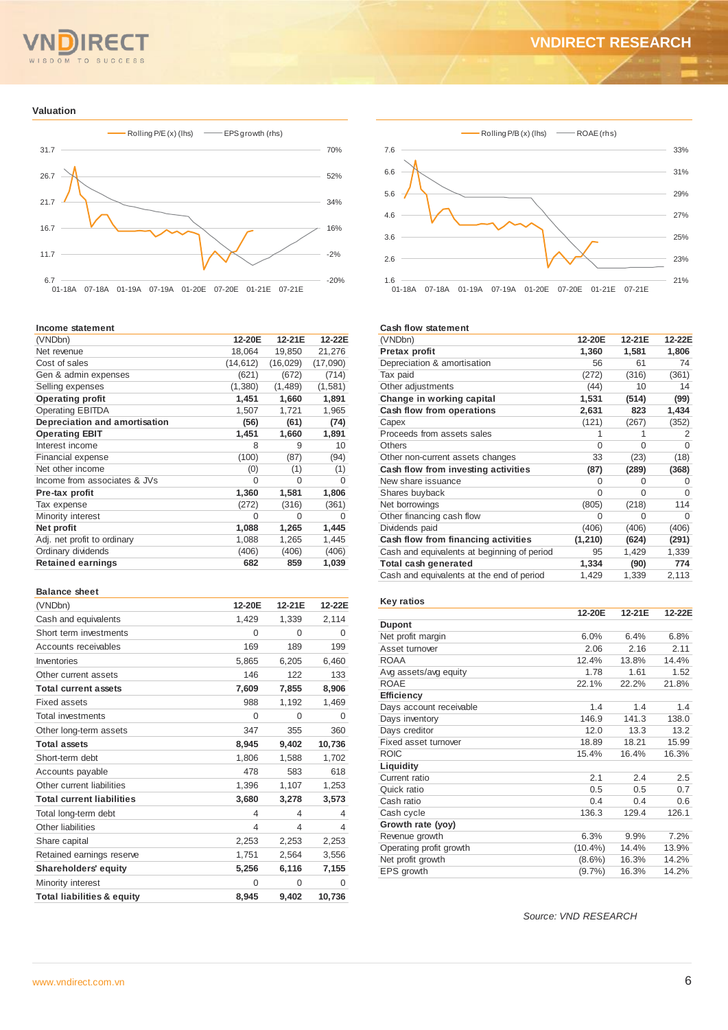# $T<sub>O</sub>$

# **VNDIRECT RESEARCH**

#### **Valuation**



#### **Income statement**

| 12-20E    | 12-21E    | 12-22E   |
|-----------|-----------|----------|
| 18,064    | 19,850    | 21,276   |
| (14, 612) | (16, 029) | (17,090) |
| (621)     | (672)     | (714)    |
| (1,380)   | (1,489)   | (1,581)  |
| 1,451     | 1,660     | 1,891    |
| 1,507     | 1,721     | 1,965    |
| (56)      | (61)      | (74)     |
| 1,451     | 1,660     | 1,891    |
| 8         | 9         | 10       |
| (100)     | (87)      | (94)     |
| (0)       | (1)       | (1)      |
| 0         | O         | 0        |
| 1,360     | 1,581     | 1,806    |
| (272)     | (316)     | (361)    |
| $\Omega$  | $\Omega$  | 0        |
| 1,088     | 1,265     | 1,445    |
| 1,088     | 1,265     | 1,445    |
| (406)     | (406)     | (406)    |
| 682       | 859       | 1,039    |
|           |           |          |

#### **Balance sheet**

| (VNDbn)                               | 12-20E   | 12-21E   | 12-22E   |
|---------------------------------------|----------|----------|----------|
| Cash and equivalents                  | 1,429    | 1,339    | 2,114    |
| Short term investments                | $\Omega$ | $\Omega$ | 0        |
| Accounts receivables                  | 169      | 189      | 199      |
| Inventories                           | 5,865    | 6,205    | 6,460    |
| Other current assets                  | 146      | 122      | 133      |
| <b>Total current assets</b>           | 7,609    | 7,855    | 8,906    |
| <b>Fixed assets</b>                   | 988      | 1,192    | 1,469    |
| Total investments                     | $\Omega$ | $\Omega$ | $\Omega$ |
| Other long-term assets                | 347      | 355      | 360      |
| <b>Total assets</b>                   | 8,945    | 9,402    | 10,736   |
| Short-term debt                       | 1,806    | 1,588    | 1,702    |
| Accounts payable                      | 478      | 583      | 618      |
| Other current liabilities             | 1,396    | 1,107    | 1,253    |
| <b>Total current liabilities</b>      | 3,680    | 3,278    | 3,573    |
| Total long-term debt                  | 4        | 4        | 4        |
| Other liabilities                     | 4        | 4        | 4        |
| Share capital                         | 2,253    | 2,253    | 2,253    |
| Retained earnings reserve             | 1,751    | 2,564    | 3,556    |
| <b>Shareholders' equity</b>           | 5,256    | 6,116    | 7,155    |
| Minority interest                     | $\Omega$ | $\Omega$ | 0        |
| <b>Total liabilities &amp; equity</b> | 8.945    | 9,402    | 10,736   |



#### **Cash flow statement**

| (VNDbn)                                     | 12-20E   | 12-21E   | 12-22E   |
|---------------------------------------------|----------|----------|----------|
| Pretax profit                               | 1,360    | 1,581    | 1,806    |
| Depreciation & amortisation                 | 56       | 61       | 74       |
| Tax paid                                    | (272)    | (316)    | (361)    |
| Other adjustments                           | (44)     | 10       | 14       |
| Change in working capital                   | 1,531    | (514)    | (99)     |
| Cash flow from operations                   | 2,631    | 823      | 1,434    |
| Capex                                       | (121)    | (267)    | (352)    |
| Proceeds from assets sales                  |          |          | 2        |
| <b>Others</b>                               | $\Omega$ | $\Omega$ | $\Omega$ |
| Other non-current assets changes            | 33       | (23)     | (18)     |
| Cash flow from investing activities         | (87)     | (289)    | (368)    |
| New share issuance                          | O        | 0        | O        |
| Shares buyback                              | $\Omega$ | O        | O        |
| Net borrowings                              | (805)    | (218)    | 114      |
| Other financing cash flow                   | $\Omega$ | 0        | O        |
| Dividends paid                              | (406)    | (406)    | (406)    |
| Cash flow from financing activities         | (1, 210) | (624)    | (291)    |
| Cash and equivalents at beginning of period | 95       | 1,429    | 1,339    |
| Total cash generated                        | 1,334    | (90)     | 774      |
| Cash and equivalents at the end of period   | 1,429    | 1,339    | 2,113    |

#### **Key ratios**

|                         | 12-20E     | 12-21E | 12-22E |
|-------------------------|------------|--------|--------|
| <b>Dupont</b>           |            |        |        |
| Net profit margin       | 6.0%       | 6.4%   | 6.8%   |
| Asset turnover          | 2.06       | 2.16   | 2.11   |
| <b>ROAA</b>             | 12.4%      | 13.8%  | 14.4%  |
| Avg assets/avg equity   | 1.78       | 1.61   | 1.52   |
| <b>ROAE</b>             | 22.1%      | 22.2%  | 21.8%  |
| <b>Efficiency</b>       |            |        |        |
| Days account receivable | 1.4        | 1.4    | 1.4    |
| Days inventory          | 146.9      | 141.3  | 138.0  |
| Days creditor           | 12.0       | 13.3   | 13.2   |
| Fixed asset turnover    | 18.89      | 18.21  | 15.99  |
| <b>ROIC</b>             | 15.4%      | 16.4%  | 16.3%  |
| Liquidity               |            |        |        |
| Current ratio           | 2.1        | 2.4    | 2.5    |
| Quick ratio             | 0.5        | 0.5    | 0.7    |
| Cash ratio              | 0.4        | 0.4    | 0.6    |
| Cash cycle              | 136.3      | 129.4  | 126.1  |
| Growth rate (yoy)       |            |        |        |
| Revenue growth          | 6.3%       | 9.9%   | 7.2%   |
| Operating profit growth | $(10.4\%)$ | 14.4%  | 13.9%  |
| Net profit growth       | $(8.6\%)$  | 16.3%  | 14.2%  |
| EPS growth              | (9.7%      | 16.3%  | 14.2%  |

*Source: VND RESEARCH*